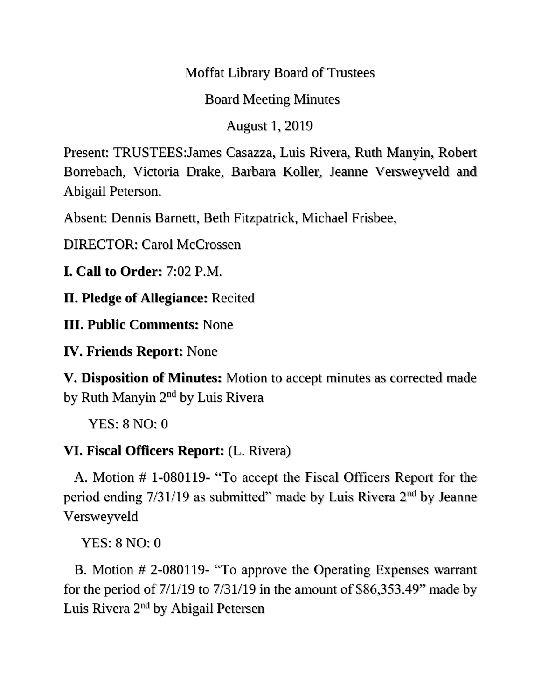#### Moffat Library Board of Trustees

### Board Meeting Minutes

August 1, 2019

Present: TRUSTEES:James Casazza, Luis Rivera, Ruth Manyin, Robert Borrebach, Victoria Drake, Barbara Koller, Jeanne Versweyveld and Abigail Peterson.

Absent: Dennis Barnett, Beth Fitzpatrick, Michael Frisbee,

DIRECTOR: Carol McCrossen

**I. Call to Order:** 7:02 P.M.

**II. Pledge of Allegiance:** Recited

**III. Public Comments:** None

**IV. Friends Report:** None

**V. Disposition of Minutes:** Motion to accept minutes as corrected made by Ruth Manyin 2nd by Luis Rivera

YES: 8 NO: 0

# **VI. Fiscal Officers Report:** (L. Rivera)

 A. Motion # 1-080119- "To accept the Fiscal Officers Report for the period ending 7/31/19 as submitted" made by Luis Rivera 2nd by Jeanne Versweyveld

YES: 8 NO: 0

 B. Motion # 2-080119- "To approve the Operating Expenses warrant for the period of  $7/1/19$  to  $7/31/19$  in the amount of \$86,353.49" made by Luis Rivera 2nd by Abigail Petersen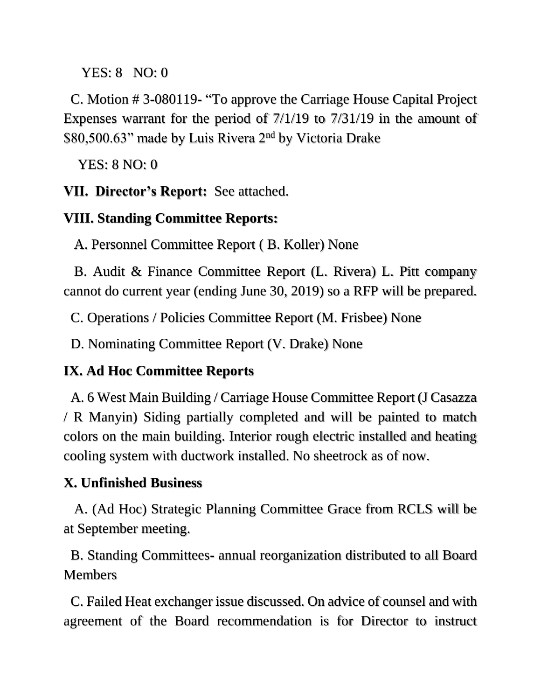YES: 8 NO: 0

 C. Motion # 3-080119- "To approve the Carriage House Capital Project Expenses warrant for the period of 7/1/19 to 7/31/19 in the amount of \$80,500.63" made by Luis Rivera 2nd by Victoria Drake

YES: 8 NO: 0

#### **VII. Director's Report:** See attached.

### **VIII. Standing Committee Reports:**

A. Personnel Committee Report ( B. Koller) None

 B. Audit & Finance Committee Report (L. Rivera) L. Pitt company cannot do current year (ending June 30, 2019) so a RFP will be prepared.

C. Operations / Policies Committee Report (M. Frisbee) None

D. Nominating Committee Report (V. Drake) None

### **IX. Ad Hoc Committee Reports**

 A. 6 West Main Building / Carriage House Committee Report (J Casazza / R Manyin) Siding partially completed and will be painted to match colors on the main building. Interior rough electric installed and heating cooling system with ductwork installed. No sheetrock as of now.

### **X. Unfinished Business**

 A. (Ad Hoc) Strategic Planning Committee Grace from RCLS will be at September meeting.

 B. Standing Committees- annual reorganization distributed to all Board **Members** 

 C. Failed Heat exchanger issue discussed. On advice of counsel and with agreement of the Board recommendation is for Director to instruct